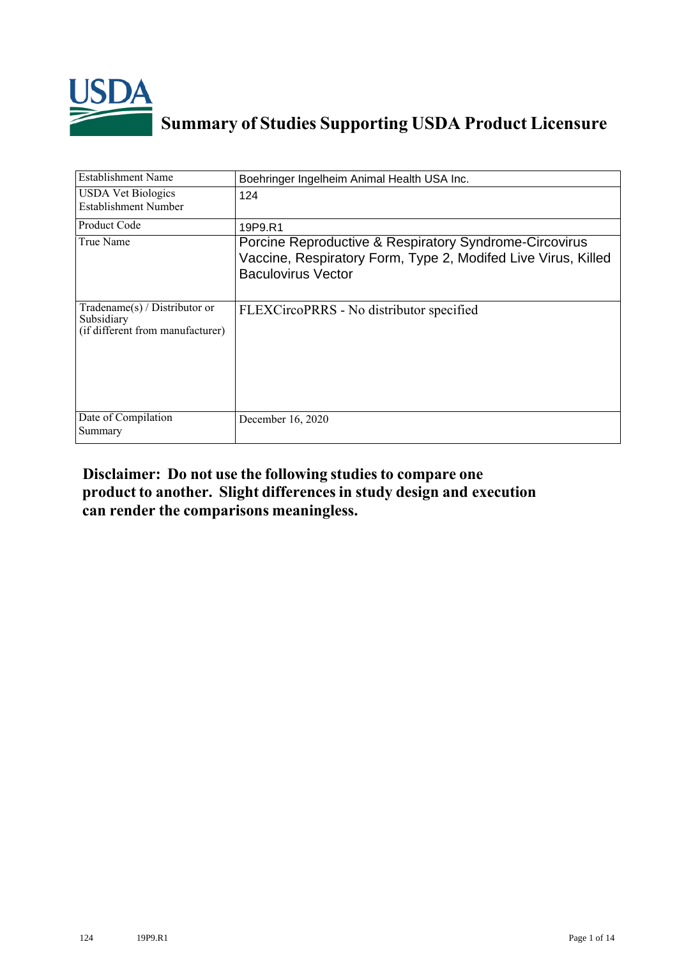

# **Summary of Studies Supporting USDA Product Licensure**

| <b>Establishment Name</b>                                                       | Boehringer Ingelheim Animal Health USA Inc.                                                                                                          |
|---------------------------------------------------------------------------------|------------------------------------------------------------------------------------------------------------------------------------------------------|
| <b>USDA Vet Biologics</b><br>Establishment Number                               | 124                                                                                                                                                  |
| <b>Product Code</b>                                                             | 19P9.R1                                                                                                                                              |
| True Name                                                                       | Porcine Reproductive & Respiratory Syndrome-Circovirus<br>Vaccine, Respiratory Form, Type 2, Modifed Live Virus, Killed<br><b>Baculovirus Vector</b> |
| Tradename(s) / Distributor or<br>Subsidiary<br>(if different from manufacturer) | FLEXCircoPRRS - No distributor specified                                                                                                             |
| Date of Compilation<br>Summary                                                  | December 16, 2020                                                                                                                                    |

# **Disclaimer: Do not use the following studiesto compare one product to another. Slight differencesin study design and execution can render the comparisons meaningless.**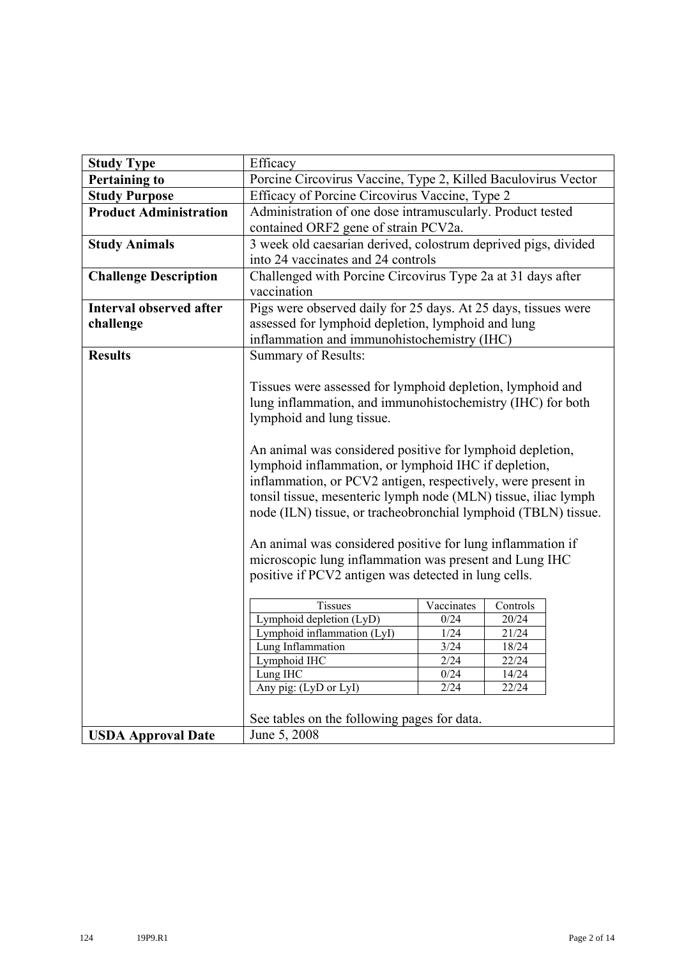| <b>Study Type</b>              | Efficacy                                                       |            |          |  |  |  |  |  |  |
|--------------------------------|----------------------------------------------------------------|------------|----------|--|--|--|--|--|--|
| <b>Pertaining to</b>           | Porcine Circovirus Vaccine, Type 2, Killed Baculovirus Vector  |            |          |  |  |  |  |  |  |
| <b>Study Purpose</b>           | Efficacy of Porcine Circovirus Vaccine, Type 2                 |            |          |  |  |  |  |  |  |
| <b>Product Administration</b>  | Administration of one dose intramuscularly. Product tested     |            |          |  |  |  |  |  |  |
|                                | contained ORF2 gene of strain PCV2a.                           |            |          |  |  |  |  |  |  |
| <b>Study Animals</b>           | 3 week old caesarian derived, colostrum deprived pigs, divided |            |          |  |  |  |  |  |  |
|                                | into 24 vaccinates and 24 controls                             |            |          |  |  |  |  |  |  |
| <b>Challenge Description</b>   | Challenged with Porcine Circovirus Type 2a at 31 days after    |            |          |  |  |  |  |  |  |
|                                | vaccination                                                    |            |          |  |  |  |  |  |  |
| <b>Interval observed after</b> | Pigs were observed daily for 25 days. At 25 days, tissues were |            |          |  |  |  |  |  |  |
| challenge                      | assessed for lymphoid depletion, lymphoid and lung             |            |          |  |  |  |  |  |  |
|                                | inflammation and immunohistochemistry (IHC)                    |            |          |  |  |  |  |  |  |
| <b>Results</b>                 | Summary of Results:                                            |            |          |  |  |  |  |  |  |
|                                |                                                                |            |          |  |  |  |  |  |  |
|                                | Tissues were assessed for lymphoid depletion, lymphoid and     |            |          |  |  |  |  |  |  |
|                                | lung inflammation, and immunohistochemistry (IHC) for both     |            |          |  |  |  |  |  |  |
|                                |                                                                |            |          |  |  |  |  |  |  |
|                                | lymphoid and lung tissue.                                      |            |          |  |  |  |  |  |  |
|                                |                                                                |            |          |  |  |  |  |  |  |
|                                | An animal was considered positive for lymphoid depletion,      |            |          |  |  |  |  |  |  |
|                                | lymphoid inflammation, or lymphoid IHC if depletion,           |            |          |  |  |  |  |  |  |
|                                | inflammation, or PCV2 antigen, respectively, were present in   |            |          |  |  |  |  |  |  |
|                                | tonsil tissue, mesenteric lymph node (MLN) tissue, iliac lymph |            |          |  |  |  |  |  |  |
|                                | node (ILN) tissue, or tracheobronchial lymphoid (TBLN) tissue. |            |          |  |  |  |  |  |  |
|                                |                                                                |            |          |  |  |  |  |  |  |
|                                | An animal was considered positive for lung inflammation if     |            |          |  |  |  |  |  |  |
|                                | microscopic lung inflammation was present and Lung IHC         |            |          |  |  |  |  |  |  |
|                                | positive if PCV2 antigen was detected in lung cells.           |            |          |  |  |  |  |  |  |
|                                | <b>Tissues</b>                                                 | Vaccinates | Controls |  |  |  |  |  |  |
|                                | Lymphoid depletion (LyD)                                       | 0/24       | 20/24    |  |  |  |  |  |  |
|                                | Lymphoid inflammation (LyI)                                    | $1/24$     | 21/24    |  |  |  |  |  |  |
|                                | Lung Inflammation                                              | 3/24       | 18/24    |  |  |  |  |  |  |
|                                | Lymphoid IHC                                                   | 2/24       | 22/24    |  |  |  |  |  |  |
|                                | Lung IHC                                                       | 0/24       | 14/24    |  |  |  |  |  |  |
|                                | Any pig: (LyD or LyI)                                          | 2/24       | 22/24    |  |  |  |  |  |  |
|                                |                                                                |            |          |  |  |  |  |  |  |
|                                | See tables on the following pages for data.                    |            |          |  |  |  |  |  |  |
| <b>USDA Approval Date</b>      | June 5, 2008                                                   |            |          |  |  |  |  |  |  |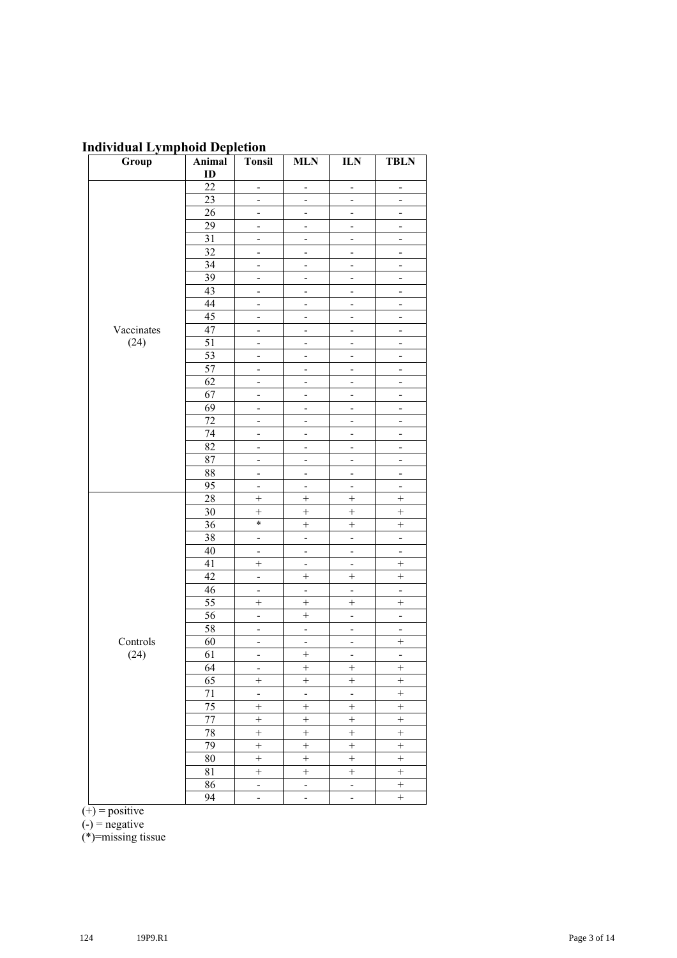## **Individual Lymphoid Depletion**

| Group      | Animal          | <b>Tonsil</b>                | <b>MLN</b>                   | <b>ILN</b>                   | <b>TBLN</b>                  |
|------------|-----------------|------------------------------|------------------------------|------------------------------|------------------------------|
|            | ID              |                              |                              |                              |                              |
|            | $\overline{22}$ | $\blacksquare$               | $\frac{1}{2}$                | $\blacksquare$               | $\overline{\phantom{a}}$     |
|            | 23              | $\frac{1}{2}$                | $\frac{1}{2}$                | $\qquad \qquad \blacksquare$ | $\blacksquare$               |
|            | 26              | $\overline{\phantom{a}}$     | $\overline{\phantom{0}}$     | $\overline{\phantom{0}}$     | $\overline{\phantom{a}}$     |
|            | 29              | $\overline{\phantom{a}}$     | $\overline{a}$               | $\overline{\phantom{a}}$     | $\overline{\phantom{a}}$     |
|            | 31              | $\frac{1}{2}$                | $\overline{\phantom{0}}$     | $\frac{1}{2}$                | $\blacksquare$               |
|            | 32              | $\blacksquare$               | $\blacksquare$               | $\frac{1}{2}$                | $\blacksquare$               |
|            | 34              | $\overline{\phantom{a}}$     | $\qquad \qquad \blacksquare$ | $\qquad \qquad \blacksquare$ | $\overline{\phantom{a}}$     |
|            | 39              | $\overline{\phantom{0}}$     | -                            | -                            | $\qquad \qquad \blacksquare$ |
|            | 43              | $\overline{\phantom{0}}$     | -                            | -                            | $\overline{\phantom{0}}$     |
|            | 44              | $\frac{1}{2}$                | $\overline{a}$               | $\overline{\phantom{0}}$     | $\blacksquare$               |
|            | $\overline{45}$ | $\frac{1}{2}$                | $\frac{1}{2}$                | $\overline{\phantom{0}}$     | $\overline{\phantom{a}}$     |
| Vaccinates | 47              | $\overline{\phantom{0}}$     | -                            | -                            | $\qquad \qquad \blacksquare$ |
| (24)       | $\overline{51}$ | ÷                            | $\overline{\phantom{0}}$     | $\overline{\phantom{0}}$     | $\overline{\phantom{a}}$     |
|            | 53              | $\overline{a}$               | $\overline{a}$               | $\overline{a}$               | $\overline{a}$               |
|            | 57              | $\frac{1}{2}$                | $\frac{1}{2}$                | $\overline{\phantom{0}}$     | $\frac{1}{2}$                |
|            | 62              | $\qquad \qquad \blacksquare$ | $\overline{\phantom{0}}$     | $\overline{\phantom{0}}$     | $\qquad \qquad \blacksquare$ |
|            | 67              | $\overline{\phantom{0}}$     | $\overline{\phantom{0}}$     | $\overline{\phantom{0}}$     | -                            |
|            | 69              | $\overline{\phantom{0}}$     | $\overline{\phantom{0}}$     | $\overline{\phantom{0}}$     | $\overline{\phantom{a}}$     |
|            | 72              | $\overline{\phantom{0}}$     | $\overline{\phantom{a}}$     | $\overline{\phantom{a}}$     | $\overline{\phantom{a}}$     |
|            | 74              | $\overline{\phantom{0}}$     | $\frac{1}{2}$                | $\frac{1}{2}$                | $\overline{\phantom{0}}$     |
|            | 82              | $\qquad \qquad \blacksquare$ | -                            | $\frac{1}{2}$                | $\overline{\phantom{0}}$     |
|            | 87              | $\qquad \qquad \blacksquare$ | $\overline{\phantom{0}}$     | $\overline{\phantom{0}}$     | $\overline{\phantom{a}}$     |
|            | 88              | $\overline{\phantom{a}}$     | $\frac{1}{2}$                | $\frac{1}{2}$                | $\overline{\phantom{a}}$     |
|            | $\overline{95}$ | $\overline{a}$               | $\overline{a}$               | $\overline{a}$               | $\overline{a}$               |
|            | $\overline{28}$ | $\ddot{}$                    |                              | $\! +$                       | $\ddot{}$                    |
|            | 30              | $\ddot{}$                    | $\ddot{}$                    | $\ddot{}$                    | $\ddot{}$                    |
|            | 36              | $\ast$                       | $\! + \!$                    | $\! + \!$                    | $\ddot{}$                    |
|            | 38              | $\overline{\phantom{a}}$     | $\blacksquare$               | $\overline{\phantom{a}}$     | $\Box$                       |
|            | 40              | $\overline{\phantom{a}}$     | $\overline{\phantom{0}}$     | $\overline{\phantom{0}}$     | $\overline{\phantom{a}}$     |
|            | 41              | $\! + \!$                    | -                            | $\overline{\phantom{0}}$     | $^{+}$                       |
|            | 42              | $\frac{1}{2}$                | $\! +$                       | $\! +$                       | $^{+}$                       |
|            | 46              | $\frac{1}{2}$                | $\overline{\phantom{a}}$     | $\frac{1}{2}$                | $\overline{a}$               |
|            | $\overline{55}$ | $\! + \!$                    | $\! + \!$                    | $\ddot{}$                    | $\ddot{}$                    |
|            | $\overline{56}$ | $\overline{\phantom{0}}$     | $\overline{+}$               | $\overline{\phantom{0}}$     | ÷,                           |
|            | 58              | $\overline{a}$               | $\overline{a}$               | $\overline{a}$               | $\overline{\phantom{a}}$     |
| Controls   | 60              | $\frac{1}{2}$                | $\frac{1}{2}$                | $\frac{1}{2}$                | $^{+}$                       |
| (24)       | $\overline{61}$ | $\overline{\phantom{0}}$     | $\ddot{}$                    | $\blacksquare$               | $\blacksquare$               |
|            | 64              | $\overline{\phantom{a}}$     | $^{+}$                       | $^{+}$                       | $^{+}$                       |
|            | 65              | $\! +$                       | $\ddot{}$                    | $\! +$                       | $\! + \!$                    |
|            | 71              | ÷,                           | $\overline{\phantom{a}}$     | ÷,                           | $\qquad \qquad +$            |
|            | 75              | $\qquad \qquad +$            | $\ddot{}$                    | $\qquad \qquad +$            | $\qquad \qquad +$            |
|            | 77              | $\qquad \qquad +$            | $\qquad \qquad +$            | $\qquad \qquad +$            | $\ddot{}$                    |
|            | 78              | $\overline{+}$               | $\overline{}$                | $\overline{+}$               | $\overline{+}$               |
|            | 79              | $\qquad \qquad +$            | $\overline{+}$               | $\ddot{}$                    | $\! + \!$                    |
|            | 80              | $\qquad \qquad +$            | $\qquad \qquad +$            | $\qquad \qquad +$            | $\qquad \qquad +$            |
|            | 81              | $\! + \!$                    | $\! + \!$                    | $\! + \!$                    |                              |
|            | 86              | $\blacksquare$               | $\blacksquare$               | $\blacksquare$               | $\qquad \qquad +$            |
|            | 94              | ÷,                           | $\frac{1}{2}$                | $\overline{\phantom{0}}$     | $\ddot{}$                    |

 $(+)$  = positive

 $(-)$  = negative

(\*)=missing tissue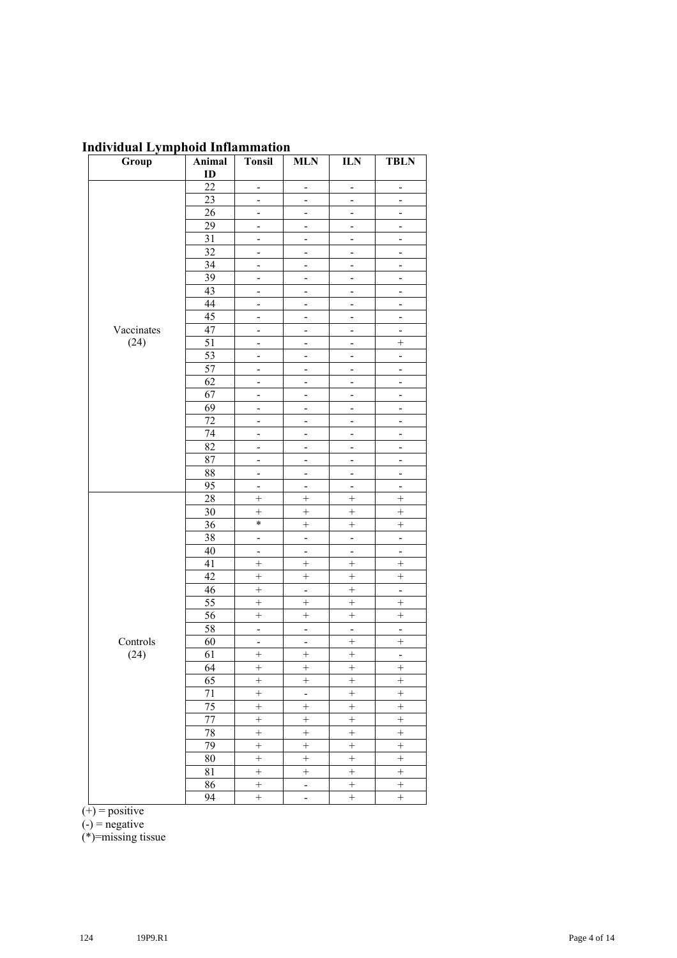|  |  |  |  |  |  | <b>Individual Lymphoid Inflammation</b> |
|--|--|--|--|--|--|-----------------------------------------|
|--|--|--|--|--|--|-----------------------------------------|

| Group      | Animal<br>ID    | <b>Tonsil</b>                | <b>MLN</b>                   | <b>ILN</b>               | <b>TBLN</b>                  |
|------------|-----------------|------------------------------|------------------------------|--------------------------|------------------------------|
|            | $\overline{22}$ | $\overline{\phantom{a}}$     | $\overline{\phantom{0}}$     | $\frac{1}{2}$            | $\qquad \qquad \blacksquare$ |
|            | $\overline{23}$ | $\overline{a}$               | $\overline{a}$               | $\overline{a}$           | $\overline{a}$               |
|            | 26              | $\overline{a}$               | $\overline{\phantom{a}}$     | ÷                        | $\overline{\phantom{0}}$     |
|            | 29              | $\qquad \qquad \blacksquare$ | $\overline{\phantom{0}}$     | $\frac{1}{2}$            | $\blacksquare$               |
|            | 31              | $\qquad \qquad \blacksquare$ | $\overline{\phantom{0}}$     | $\overline{\phantom{0}}$ | $\overline{\phantom{a}}$     |
|            | 32              | $\qquad \qquad \blacksquare$ | $\qquad \qquad \blacksquare$ | $\overline{\phantom{a}}$ | $\overline{\phantom{a}}$     |
|            | 34              | $\frac{1}{2}$                | $\overline{a}$               | $\overline{a}$           | $\overline{\phantom{a}}$     |
|            | 39              | $\overline{\phantom{0}}$     | $\overline{\phantom{0}}$     | -                        | $\overline{\phantom{a}}$     |
|            | $\overline{43}$ | $\frac{1}{2}$                | $\overline{\phantom{0}}$     | $\overline{\phantom{0}}$ | $\overline{\phantom{0}}$     |
|            | $\overline{44}$ | $\qquad \qquad \blacksquare$ | $\overline{\phantom{a}}$     | $\frac{1}{2}$            | $\blacksquare$               |
|            | $\overline{45}$ | $\qquad \qquad \blacksquare$ | $\qquad \qquad \blacksquare$ | $\overline{\phantom{a}}$ | $\qquad \qquad \blacksquare$ |
| Vaccinates | 47              | $\overline{\phantom{0}}$     | -                            | -                        | $\overline{\phantom{0}}$     |
| (24)       | $\overline{51}$ | ÷                            | -                            | -                        | $\qquad \qquad +$            |
|            | 53              | $\overline{a}$               | $\overline{a}$               | $\overline{a}$           | $\overline{a}$               |
|            | 57              | $\blacksquare$               | $\overline{\phantom{0}}$     | $\frac{1}{2}$            | $\overline{\phantom{a}}$     |
|            | 62              | $\overline{\phantom{0}}$     | $\qquad \qquad \blacksquare$ | -                        | -                            |
|            | 67              | $\overline{\phantom{0}}$     | $\qquad \qquad \blacksquare$ | -                        | $\qquad \qquad \blacksquare$ |
|            | 69              | -                            | -                            | -                        | -                            |
|            | 72              | $\overline{a}$               | $\overline{\phantom{a}}$     | $\overline{\phantom{0}}$ | $\overline{\phantom{0}}$     |
|            | $\overline{74}$ | $\overline{\phantom{a}}$     | $\frac{1}{2}$                | $\frac{1}{2}$            | $\frac{1}{2}$                |
|            | 82              | $\overline{\phantom{0}}$     | -                            | -                        | $\overline{\phantom{0}}$     |
|            | 87              | $\overline{\phantom{0}}$     | -                            | -                        | $\overline{\phantom{0}}$     |
|            | 88              | $\overline{a}$               | $\overline{a}$               | $\overline{a}$           | $\overline{a}$               |
|            | $\overline{95}$ | $\overline{a}$               | $\overline{a}$               | $\overline{a}$           | $\overline{\phantom{a}}$     |
|            | $\overline{28}$ | $\! + \!$                    | $^{+}$                       | $\! + \!$                | $\! +$                       |
|            | 30              | $\ddot{}$                    | $\overline{+}$               | $\qquad \qquad +$        | $\overline{+}$               |
|            | 36              | $\ast$                       | $\! +$                       |                          |                              |
|            | 38              | $\overline{a}$               | $\overline{\phantom{a}}$     | $\mathbb{L}$             | ÷,                           |
|            | 40              | -                            | $\overline{\phantom{0}}$     | $\overline{\phantom{0}}$ | $\overline{\phantom{a}}$     |
|            | 41              | $\! + \!$                    | $\ddot{}$                    | $\! + \!$                | $\ddot{}$                    |
|            | $\overline{42}$ | $\ddot{}$                    | $\ddot{}$                    | $\ddot{}$                | $\qquad \qquad +$            |
|            | 46              | $\ddot{}$                    | $\Box$                       | $\ddot{}$                | $\overline{a}$               |
|            | $\overline{55}$ | $\overline{+}$               | $\overline{+}$               | $\overline{}$            | $\overline{+}$               |
|            | $\overline{56}$ | $\qquad \qquad +$            | $\ddot{}$                    | $\qquad \qquad +$        | $\qquad \qquad +$            |
|            | 58              | $\overline{a}$               | $\overline{a}$               | $\overline{a}$           | L,                           |
| Controls   | 60              | $\blacksquare$               | $\blacksquare$               | $\boldsymbol{+}$         | $\! + \!$                    |
| (24)       | 61              | $\! +$                       | $\! +$                       | $\overline{+}$           | $\blacksquare$               |
|            | 64              | $^{+}$                       | $^{+}$                       | $^{+}$                   | $^{+}$                       |
|            | 65              | $\ddot{}$                    | $\ddot{}$                    | $^{+}$                   | $\overline{+}$               |
|            | 71              | $\ddot{}$                    | $\overline{a}$               | $\! +$                   | $^{+}$                       |
|            | 75              | $\ddot{}$                    | $\ddot{}$                    | $\qquad \qquad +$        | $+$                          |
|            | $\overline{77}$ | $\overline{+}$               | $\overline{+}$               | $\overline{+}$           | $\overline{+}$               |
|            | 78              | $\overline{+}$               | $\overline{+}$               | $\overline{+}$           | $\overline{+}$               |
|            | 79              | $\overline{+}$               | $\overline{+}$               | $\overline{+}$           | $\overline{+}$               |
|            | 80              | $\! +$                       | $\ddot{}$                    |                          |                              |
|            | 81              | $\ddot{}$                    | $\ddot{}$                    | $\ddot{}$                | $+$                          |
|            | 86              | $\overline{+}$               | $\blacksquare$               | $\qquad \qquad +$        | $\overline{+}$               |
|            | 94              | $\qquad \qquad +$            | $\overline{\phantom{a}}$     | $\overline{+}$           | $\qquad \qquad +$            |

 $(+)$  = positive

 $(-)$  = negative

(\*)=missing tissue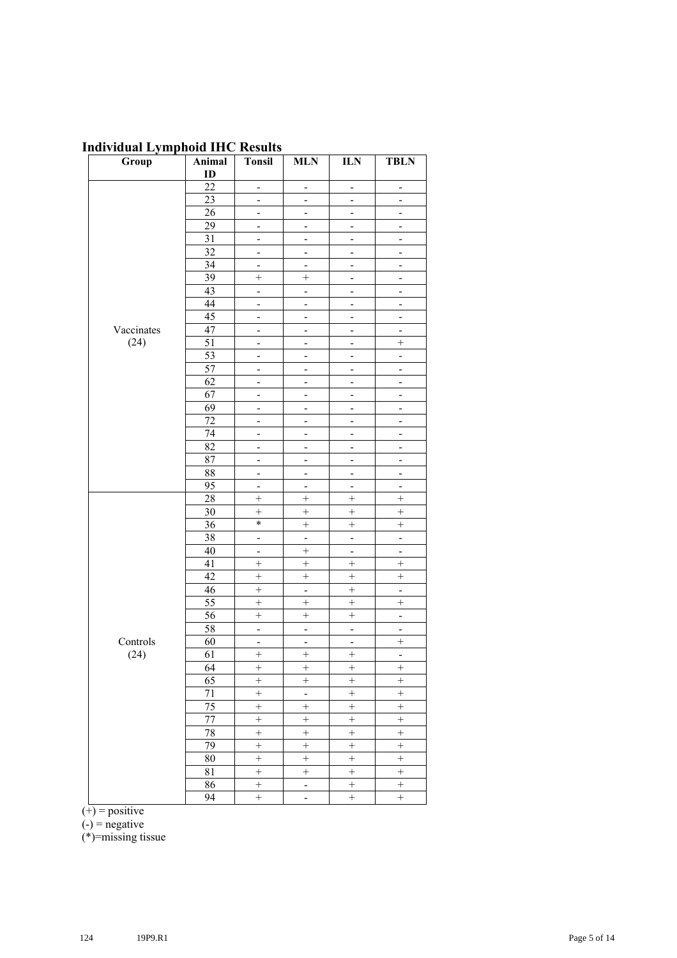### **Individual Lymphoid IHC Results**

| Group      | Animal          | <b>Tonsil</b>                | <b>MLN</b>                   | ${\bf ILN}$                  | <b>TBLN</b>                  |
|------------|-----------------|------------------------------|------------------------------|------------------------------|------------------------------|
|            | ID              |                              |                              |                              |                              |
|            | 22              | $\overline{\phantom{0}}$     | $\overline{a}$               | $\overline{a}$               | $\overline{\phantom{0}}$     |
|            | $\overline{23}$ | $\frac{1}{2}$                | $\frac{1}{2}$                | $\frac{1}{2}$                | $\blacksquare$               |
|            | 26              | $\overline{\phantom{0}}$     | -                            | $\overline{\phantom{0}}$     | $\overline{\phantom{a}}$     |
|            | $\overline{29}$ | -                            | -                            | -                            | -                            |
|            | $\overline{31}$ | -                            | ÷                            | ÷                            | $\overline{\phantom{0}}$     |
|            | 32              | $\overline{a}$               | $\overline{a}$               | $\overline{a}$               | $\overline{a}$               |
|            | 34              | $\blacksquare$               | $\blacksquare$               | $\blacksquare$               | $\blacksquare$               |
|            | 39              | $^{+}$                       | $+$                          | $\overline{\phantom{0}}$     | -                            |
|            | 43              | $\overline{\phantom{0}}$     | $\overline{\phantom{0}}$     | -                            | $\qquad \qquad \blacksquare$ |
|            | 44              | $\overline{a}$               | $\overline{a}$               | $\overline{\phantom{a}}$     | $\overline{\phantom{a}}$     |
|            | 45              | $\overline{\phantom{0}}$     | $\frac{1}{2}$                | $\frac{1}{2}$                | $\overline{\phantom{a}}$     |
| Vaccinates | 47              | $\overline{\phantom{0}}$     | $\frac{1}{2}$                | $\qquad \qquad \blacksquare$ | $\overline{\phantom{0}}$     |
| (24)       | $\overline{51}$ | $\overline{\phantom{a}}$     | $\qquad \qquad \blacksquare$ | $\overline{\phantom{0}}$     | $\ddot{}$                    |
|            | 53              | $\overline{a}$               | $\qquad \qquad \blacksquare$ | $\qquad \qquad \blacksquare$ | $\blacksquare$               |
|            | 57              | $\overline{a}$               | $\overline{a}$               | $\overline{a}$               | $\overline{a}$               |
|            | 62              | -                            | $\overline{\phantom{0}}$     | ÷                            | $\blacksquare$               |
|            | 67              | $\overline{\phantom{0}}$     | $\frac{1}{2}$                | $\qquad \qquad \blacksquare$ | $\blacksquare$               |
|            | 69              | $\overline{\phantom{0}}$     | $\qquad \qquad \blacksquare$ | $\qquad \qquad \blacksquare$ | $\overline{\phantom{a}}$     |
|            | 72              | $\qquad \qquad \blacksquare$ | $\qquad \qquad \blacksquare$ | $\qquad \qquad \blacksquare$ | $\overline{\phantom{a}}$     |
|            | 74              | $\frac{1}{2}$                | $\overline{a}$               | $\overline{a}$               | $\blacksquare$               |
|            | 82              | -                            | -                            | -                            | $\overline{\phantom{0}}$     |
|            | 87              | $\overline{\phantom{0}}$     | $\frac{1}{2}$                | $\qquad \qquad \blacksquare$ | $\overline{\phantom{0}}$     |
|            | 88              | $\qquad \qquad \blacksquare$ | $\frac{1}{2}$                | $\frac{1}{2}$                | $\blacksquare$               |
|            | $\overline{95}$ | $\frac{1}{2}$                | $\qquad \qquad \blacksquare$ | $\overline{\phantom{0}}$     | $\blacksquare$               |
|            | 28              | $\ddot{}$                    | $\ddot{}$                    | $\ddot{}$                    | $\overline{+}$               |
|            | 30              | $\ddot{}$                    | $\ddot{}$                    | $\ddot{}$                    | $\ddot{}$                    |
|            | 36              | $\ast$                       | $\ddot{}$                    | $\ddot{}$                    | $\! +$                       |
|            | 38              | $\blacksquare$               | $\Box$                       | $\overline{\phantom{a}}$     | ÷,                           |
|            | $40\,$          | $\overline{\phantom{a}}$     | $\! +$                       | $\overline{\phantom{a}}$     | $\overline{\phantom{a}}$     |
|            | 41              | $\ddot{}$                    | $\ddot{}$                    | $\ddot{}$                    | $\overline{+}$               |
|            | 42              | $\! + \!$                    | $\! + \!$                    | $\qquad \qquad +$            | $\! + \!$                    |
|            | 46              |                              | ÷,                           | $\! +$                       | $\overline{\phantom{a}}$     |
|            | $\overline{55}$ | $\ddot{}$                    | $\ddot{}$                    | $\! + \!$                    | $\boldsymbol{+}$             |
|            | $\overline{56}$ | $\ddot{}$                    | $\ddot{}$                    | $\ddot{}$                    | $\blacksquare$               |
|            | 58              | $\overline{\phantom{a}}$     | $\overline{\phantom{0}}$     | $\blacksquare$               | $\blacksquare$               |
| Controls   | 60              | $\overline{a}$               | $\overline{a}$               | $\overline{a}$               | $\! + \!$                    |
| (24)       | 61              | $\ddot{}$                    | $\! +$                       | $\ddot{}$                    | ÷,                           |
|            | 64              | $^{+}$                       | $^{+}$                       | $^{+}$                       | $^{+}$                       |
|            | 65              | $\overline{+}$               | $\overline{+}$               | $\overline{+}$               | $\overline{+}$               |
|            | $71\,$          | $\qquad \qquad +$            | ÷,                           |                              |                              |
|            | 75              | $\qquad \qquad +$            | $\overline{+}$               | $\ddot{}$                    | $\ddot{}$                    |
|            | 77              | $+$                          | $\ddot{}$                    | $\! +$                       | $+$                          |
|            | 78              | $\qquad \qquad +$            | $\ddot{}$                    | $\! +$                       | $\boldsymbol{+}$             |
|            | 79              | $\overline{}$                | $\overline{+}$               | $\overline{+}$               | $\overline{+}$               |
|            | 80              | $\overline{+}$               | $\overline{+}$               | $\overline{+}$               | $\overline{+}$               |
|            | 81              | $\overline{+}$               | $\overline{+}$               | $\overline{+}$               | $\overline{+}$               |
|            | 86              | $\boldsymbol{+}$             | $\overline{\phantom{0}}$     | $\qquad \qquad +$            | $\qquad \qquad +$            |
|            | 94              | $\boldsymbol{+}$             | $\overline{a}$               | $\! + \!$                    | $\boldsymbol{+}$             |

 $(+)$  = positive

 $(-)$  = negative

(\*)=missing tissue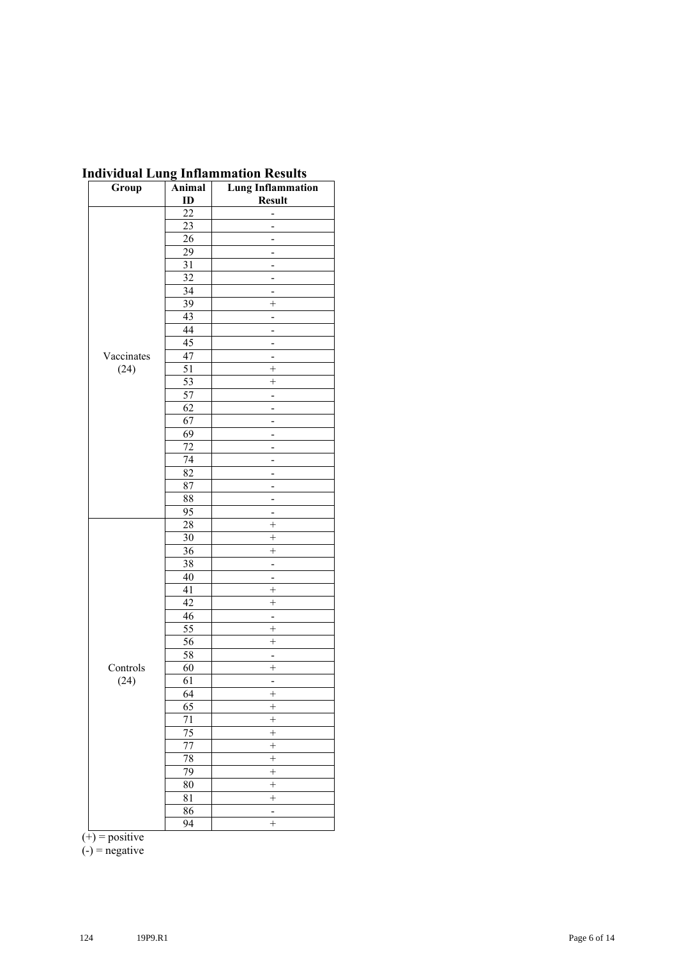| Group      | Animal          | murviduai Lung mmammation Results<br><b>Lung Inflammation</b> |
|------------|-----------------|---------------------------------------------------------------|
|            | ID              | <b>Result</b>                                                 |
|            | $\overline{22}$ | -                                                             |
|            | 23              | $\overline{a}$                                                |
|            | $\overline{26}$ | -                                                             |
|            | 29              |                                                               |
|            | 31              |                                                               |
|            | 32              | -                                                             |
|            | $\overline{34}$ |                                                               |
|            | 39              | $\ddot{}$                                                     |
|            | $\overline{43}$ | $\overline{\phantom{0}}$                                      |
|            | 44              |                                                               |
|            | $\overline{45}$ |                                                               |
| Vaccinates | 47              |                                                               |
| (24)       | 51              | $^{+}$                                                        |
|            | $\overline{53}$ | $\ddot{}$                                                     |
|            | 57              |                                                               |
|            | 62              | -                                                             |
|            | 67              |                                                               |
|            | 69              |                                                               |
|            | 72              | L,                                                            |
|            | $\overline{74}$ |                                                               |
|            | $\overline{82}$ |                                                               |
|            | 87              |                                                               |
|            | 88              | $\overline{\phantom{0}}$                                      |
|            | 95              | -                                                             |
|            | 28              | $\ddot{}$                                                     |
|            | 30              | $^{+}$                                                        |
|            | 36              | $^{+}$                                                        |
|            | 38              | -                                                             |
|            | 40              | -                                                             |
|            | 41              | $^{+}$                                                        |
|            | 42              | $\ddot{}$                                                     |
|            | 46              |                                                               |
|            | $\overline{55}$ | $^{+}$                                                        |
|            | $\overline{56}$ | $\ddot{}$                                                     |
|            | 58              | $\overline{\phantom{a}}$                                      |
| Controls   | 60              | $^{+}$                                                        |
| (24)       | 61              | -                                                             |
|            | 64              | $^{+}$                                                        |
|            | 65              | $^{+}$                                                        |
|            | 71              | $\ddot{}$                                                     |
|            | 75              | $^{+}$                                                        |
|            | $\overline{77}$ | $\overline{+}$                                                |
|            | 78              | $\ddot{}$                                                     |
|            | 79              | $\ddot{}$                                                     |
|            | 80              | $\ddot{}$                                                     |
|            | 81              | $\ddot{}$                                                     |
|            | 86              | $\qquad \qquad -$                                             |
|            | 94              | $\ddot{}$                                                     |

#### **Individual Lung Inflammation Results**

 $(+)$  = positive

 $(-)$  = negative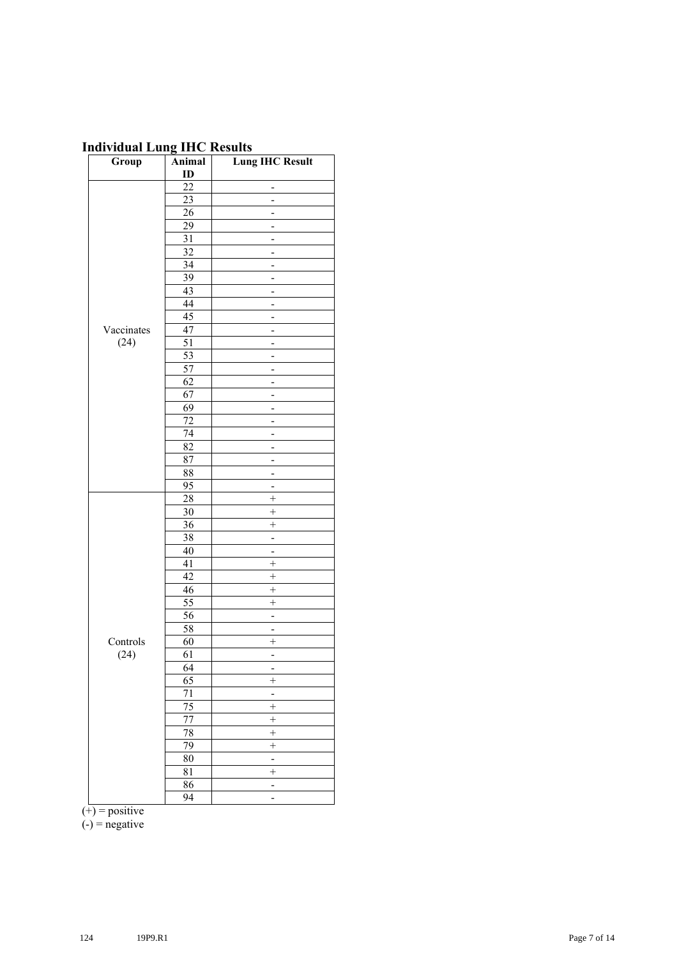## **Individual Lung IHC Results**

| ID<br>22<br>-<br>$\overline{23}$<br>-<br>$\overline{26}$<br>29<br>$\overline{31}$<br>L,<br>$\overline{32}$<br>-<br>34<br>-<br>39<br>-<br>43<br>$\overline{a}$<br>44<br>-<br>$\overline{45}$<br>47<br>Vaccinates<br>-<br>(24)<br>51<br>$\overline{53}$<br>-<br>$\overline{57}$<br>62<br>$\overline{a}$<br>67<br>-<br>69<br>-<br>72<br>-<br>74<br>-<br>82<br>$\overline{87}$<br>-<br>88<br>-<br>95<br>-<br>$\overline{28}$<br>$\ddot{}$<br>30<br>$^{+}$<br>$\overline{36}$<br>$\ddot{}$<br>38<br>-<br>40<br>$\qquad \qquad \blacksquare$<br>41<br>$\! + \!$<br>42<br>$^{+}$<br>46<br>$\ddot{}$<br>55<br>$^{+}$<br>$\overline{56}$<br>$\overline{\phantom{0}}$<br>58<br>Ξ<br>60<br>$\ddot{}$<br>Controls<br>(24)<br>61<br>$\overline{a}$<br>64<br>65<br>$\overline{+}$<br>$\overline{71}$<br>÷,<br>$\overline{75}$<br>$^{+}$<br>77<br>$\ddot{}$<br>78<br>$\overline{+}$<br>79<br>$\overline{+}$<br>$\overline{80}$<br>$\overline{a}$<br>$\overline{+}$<br>81<br>86<br>- | Group | Animal          | <b>Lung IHC Result</b>   |
|----------------------------------------------------------------------------------------------------------------------------------------------------------------------------------------------------------------------------------------------------------------------------------------------------------------------------------------------------------------------------------------------------------------------------------------------------------------------------------------------------------------------------------------------------------------------------------------------------------------------------------------------------------------------------------------------------------------------------------------------------------------------------------------------------------------------------------------------------------------------------------------------------------------------------------------------------------------------|-------|-----------------|--------------------------|
|                                                                                                                                                                                                                                                                                                                                                                                                                                                                                                                                                                                                                                                                                                                                                                                                                                                                                                                                                                      |       |                 |                          |
|                                                                                                                                                                                                                                                                                                                                                                                                                                                                                                                                                                                                                                                                                                                                                                                                                                                                                                                                                                      |       |                 |                          |
|                                                                                                                                                                                                                                                                                                                                                                                                                                                                                                                                                                                                                                                                                                                                                                                                                                                                                                                                                                      |       |                 |                          |
|                                                                                                                                                                                                                                                                                                                                                                                                                                                                                                                                                                                                                                                                                                                                                                                                                                                                                                                                                                      |       |                 |                          |
|                                                                                                                                                                                                                                                                                                                                                                                                                                                                                                                                                                                                                                                                                                                                                                                                                                                                                                                                                                      |       |                 |                          |
|                                                                                                                                                                                                                                                                                                                                                                                                                                                                                                                                                                                                                                                                                                                                                                                                                                                                                                                                                                      |       |                 |                          |
|                                                                                                                                                                                                                                                                                                                                                                                                                                                                                                                                                                                                                                                                                                                                                                                                                                                                                                                                                                      |       |                 |                          |
|                                                                                                                                                                                                                                                                                                                                                                                                                                                                                                                                                                                                                                                                                                                                                                                                                                                                                                                                                                      |       |                 |                          |
|                                                                                                                                                                                                                                                                                                                                                                                                                                                                                                                                                                                                                                                                                                                                                                                                                                                                                                                                                                      |       |                 |                          |
|                                                                                                                                                                                                                                                                                                                                                                                                                                                                                                                                                                                                                                                                                                                                                                                                                                                                                                                                                                      |       |                 |                          |
|                                                                                                                                                                                                                                                                                                                                                                                                                                                                                                                                                                                                                                                                                                                                                                                                                                                                                                                                                                      |       |                 |                          |
|                                                                                                                                                                                                                                                                                                                                                                                                                                                                                                                                                                                                                                                                                                                                                                                                                                                                                                                                                                      |       |                 |                          |
|                                                                                                                                                                                                                                                                                                                                                                                                                                                                                                                                                                                                                                                                                                                                                                                                                                                                                                                                                                      |       |                 |                          |
|                                                                                                                                                                                                                                                                                                                                                                                                                                                                                                                                                                                                                                                                                                                                                                                                                                                                                                                                                                      |       |                 |                          |
|                                                                                                                                                                                                                                                                                                                                                                                                                                                                                                                                                                                                                                                                                                                                                                                                                                                                                                                                                                      |       |                 |                          |
|                                                                                                                                                                                                                                                                                                                                                                                                                                                                                                                                                                                                                                                                                                                                                                                                                                                                                                                                                                      |       |                 |                          |
|                                                                                                                                                                                                                                                                                                                                                                                                                                                                                                                                                                                                                                                                                                                                                                                                                                                                                                                                                                      |       |                 |                          |
|                                                                                                                                                                                                                                                                                                                                                                                                                                                                                                                                                                                                                                                                                                                                                                                                                                                                                                                                                                      |       |                 |                          |
|                                                                                                                                                                                                                                                                                                                                                                                                                                                                                                                                                                                                                                                                                                                                                                                                                                                                                                                                                                      |       |                 |                          |
|                                                                                                                                                                                                                                                                                                                                                                                                                                                                                                                                                                                                                                                                                                                                                                                                                                                                                                                                                                      |       |                 |                          |
|                                                                                                                                                                                                                                                                                                                                                                                                                                                                                                                                                                                                                                                                                                                                                                                                                                                                                                                                                                      |       |                 |                          |
|                                                                                                                                                                                                                                                                                                                                                                                                                                                                                                                                                                                                                                                                                                                                                                                                                                                                                                                                                                      |       |                 |                          |
|                                                                                                                                                                                                                                                                                                                                                                                                                                                                                                                                                                                                                                                                                                                                                                                                                                                                                                                                                                      |       |                 |                          |
|                                                                                                                                                                                                                                                                                                                                                                                                                                                                                                                                                                                                                                                                                                                                                                                                                                                                                                                                                                      |       |                 |                          |
|                                                                                                                                                                                                                                                                                                                                                                                                                                                                                                                                                                                                                                                                                                                                                                                                                                                                                                                                                                      |       |                 |                          |
|                                                                                                                                                                                                                                                                                                                                                                                                                                                                                                                                                                                                                                                                                                                                                                                                                                                                                                                                                                      |       |                 |                          |
|                                                                                                                                                                                                                                                                                                                                                                                                                                                                                                                                                                                                                                                                                                                                                                                                                                                                                                                                                                      |       |                 |                          |
|                                                                                                                                                                                                                                                                                                                                                                                                                                                                                                                                                                                                                                                                                                                                                                                                                                                                                                                                                                      |       |                 |                          |
|                                                                                                                                                                                                                                                                                                                                                                                                                                                                                                                                                                                                                                                                                                                                                                                                                                                                                                                                                                      |       |                 |                          |
|                                                                                                                                                                                                                                                                                                                                                                                                                                                                                                                                                                                                                                                                                                                                                                                                                                                                                                                                                                      |       |                 |                          |
|                                                                                                                                                                                                                                                                                                                                                                                                                                                                                                                                                                                                                                                                                                                                                                                                                                                                                                                                                                      |       |                 |                          |
|                                                                                                                                                                                                                                                                                                                                                                                                                                                                                                                                                                                                                                                                                                                                                                                                                                                                                                                                                                      |       |                 |                          |
|                                                                                                                                                                                                                                                                                                                                                                                                                                                                                                                                                                                                                                                                                                                                                                                                                                                                                                                                                                      |       |                 |                          |
|                                                                                                                                                                                                                                                                                                                                                                                                                                                                                                                                                                                                                                                                                                                                                                                                                                                                                                                                                                      |       |                 |                          |
|                                                                                                                                                                                                                                                                                                                                                                                                                                                                                                                                                                                                                                                                                                                                                                                                                                                                                                                                                                      |       |                 |                          |
|                                                                                                                                                                                                                                                                                                                                                                                                                                                                                                                                                                                                                                                                                                                                                                                                                                                                                                                                                                      |       |                 |                          |
|                                                                                                                                                                                                                                                                                                                                                                                                                                                                                                                                                                                                                                                                                                                                                                                                                                                                                                                                                                      |       |                 |                          |
|                                                                                                                                                                                                                                                                                                                                                                                                                                                                                                                                                                                                                                                                                                                                                                                                                                                                                                                                                                      |       |                 |                          |
|                                                                                                                                                                                                                                                                                                                                                                                                                                                                                                                                                                                                                                                                                                                                                                                                                                                                                                                                                                      |       |                 |                          |
|                                                                                                                                                                                                                                                                                                                                                                                                                                                                                                                                                                                                                                                                                                                                                                                                                                                                                                                                                                      |       |                 |                          |
|                                                                                                                                                                                                                                                                                                                                                                                                                                                                                                                                                                                                                                                                                                                                                                                                                                                                                                                                                                      |       |                 |                          |
|                                                                                                                                                                                                                                                                                                                                                                                                                                                                                                                                                                                                                                                                                                                                                                                                                                                                                                                                                                      |       |                 |                          |
|                                                                                                                                                                                                                                                                                                                                                                                                                                                                                                                                                                                                                                                                                                                                                                                                                                                                                                                                                                      |       |                 |                          |
|                                                                                                                                                                                                                                                                                                                                                                                                                                                                                                                                                                                                                                                                                                                                                                                                                                                                                                                                                                      |       |                 |                          |
|                                                                                                                                                                                                                                                                                                                                                                                                                                                                                                                                                                                                                                                                                                                                                                                                                                                                                                                                                                      |       |                 |                          |
|                                                                                                                                                                                                                                                                                                                                                                                                                                                                                                                                                                                                                                                                                                                                                                                                                                                                                                                                                                      |       |                 |                          |
|                                                                                                                                                                                                                                                                                                                                                                                                                                                                                                                                                                                                                                                                                                                                                                                                                                                                                                                                                                      |       |                 |                          |
|                                                                                                                                                                                                                                                                                                                                                                                                                                                                                                                                                                                                                                                                                                                                                                                                                                                                                                                                                                      |       |                 |                          |
|                                                                                                                                                                                                                                                                                                                                                                                                                                                                                                                                                                                                                                                                                                                                                                                                                                                                                                                                                                      |       |                 |                          |
|                                                                                                                                                                                                                                                                                                                                                                                                                                                                                                                                                                                                                                                                                                                                                                                                                                                                                                                                                                      |       |                 |                          |
|                                                                                                                                                                                                                                                                                                                                                                                                                                                                                                                                                                                                                                                                                                                                                                                                                                                                                                                                                                      |       |                 |                          |
|                                                                                                                                                                                                                                                                                                                                                                                                                                                                                                                                                                                                                                                                                                                                                                                                                                                                                                                                                                      |       |                 |                          |
|                                                                                                                                                                                                                                                                                                                                                                                                                                                                                                                                                                                                                                                                                                                                                                                                                                                                                                                                                                      |       | $\overline{94}$ | $\overline{\phantom{0}}$ |

 $(+)$  = positive

 $(-)$  = negative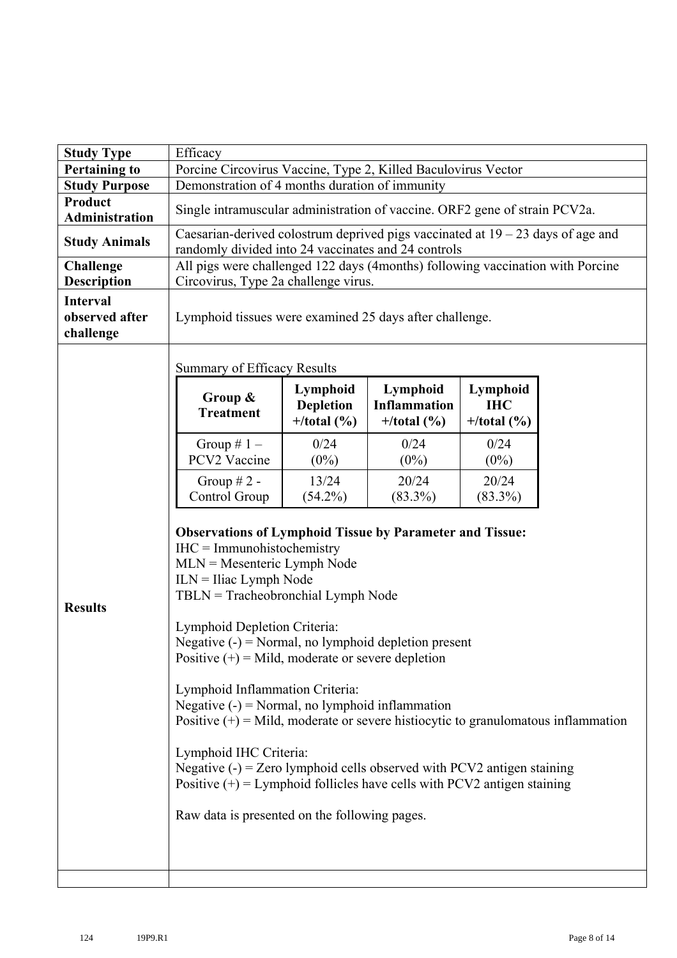| <b>Study Type</b>                              | Efficacy                                                                                                                                                                                                                                                                                                                                                                                                                                                                                                                                                                                                                                                                                                                                                                  |                                              |                                                  |                                        |  |  |  |  |  |  |
|------------------------------------------------|---------------------------------------------------------------------------------------------------------------------------------------------------------------------------------------------------------------------------------------------------------------------------------------------------------------------------------------------------------------------------------------------------------------------------------------------------------------------------------------------------------------------------------------------------------------------------------------------------------------------------------------------------------------------------------------------------------------------------------------------------------------------------|----------------------------------------------|--------------------------------------------------|----------------------------------------|--|--|--|--|--|--|
| <b>Pertaining to</b>                           | Porcine Circovirus Vaccine, Type 2, Killed Baculovirus Vector<br>Demonstration of 4 months duration of immunity                                                                                                                                                                                                                                                                                                                                                                                                                                                                                                                                                                                                                                                           |                                              |                                                  |                                        |  |  |  |  |  |  |
| <b>Study Purpose</b>                           |                                                                                                                                                                                                                                                                                                                                                                                                                                                                                                                                                                                                                                                                                                                                                                           |                                              |                                                  |                                        |  |  |  |  |  |  |
| Product<br><b>Administration</b>               | Single intramuscular administration of vaccine. ORF2 gene of strain PCV2a.                                                                                                                                                                                                                                                                                                                                                                                                                                                                                                                                                                                                                                                                                                |                                              |                                                  |                                        |  |  |  |  |  |  |
| <b>Study Animals</b>                           | Caesarian-derived colostrum deprived pigs vaccinated at $19 - 23$ days of age and<br>randomly divided into 24 vaccinates and 24 controls                                                                                                                                                                                                                                                                                                                                                                                                                                                                                                                                                                                                                                  |                                              |                                                  |                                        |  |  |  |  |  |  |
| <b>Challenge</b><br><b>Description</b>         | All pigs were challenged 122 days (4months) following vaccination with Porcine<br>Circovirus, Type 2a challenge virus.                                                                                                                                                                                                                                                                                                                                                                                                                                                                                                                                                                                                                                                    |                                              |                                                  |                                        |  |  |  |  |  |  |
| <b>Interval</b><br>observed after<br>challenge | Lymphoid tissues were examined 25 days after challenge.                                                                                                                                                                                                                                                                                                                                                                                                                                                                                                                                                                                                                                                                                                                   |                                              |                                                  |                                        |  |  |  |  |  |  |
|                                                | <b>Summary of Efficacy Results</b>                                                                                                                                                                                                                                                                                                                                                                                                                                                                                                                                                                                                                                                                                                                                        |                                              |                                                  |                                        |  |  |  |  |  |  |
|                                                | Group &<br><b>Treatment</b>                                                                                                                                                                                                                                                                                                                                                                                                                                                                                                                                                                                                                                                                                                                                               | Lymphoid<br><b>Depletion</b><br>$+/total(%)$ | Lymphoid<br><b>Inflammation</b><br>$+/total$ (%) | Lymphoid<br><b>IHC</b><br>$+/total(%)$ |  |  |  |  |  |  |
|                                                | Group $# 1 -$<br>PCV2 Vaccine                                                                                                                                                                                                                                                                                                                                                                                                                                                                                                                                                                                                                                                                                                                                             | 0/24<br>$(0\%)$                              | 0/24<br>$(0\%)$                                  | 0/24<br>$(0\%)$                        |  |  |  |  |  |  |
|                                                | Group $# 2 -$<br>Control Group                                                                                                                                                                                                                                                                                                                                                                                                                                                                                                                                                                                                                                                                                                                                            | 13/24<br>$(54.2\%)$                          | 20/24<br>$(83.3\%)$                              | 20/24<br>$(83.3\%)$                    |  |  |  |  |  |  |
| <b>Results</b>                                 | <b>Observations of Lymphoid Tissue by Parameter and Tissue:</b><br>$IHC = Immunohistochemistry$<br>$MLN = Mesenteric Lymph Node$<br>$ILN = I$ liac Lymph Node<br>$TBLN = Tracheobronchial Lymph$ Node<br>Lymphoid Depletion Criteria:<br>Negative $(-)$ = Normal, no lymphoid depletion present<br>Positive $(+)$ = Mild, moderate or severe depletion<br>Lymphoid Inflammation Criteria:<br>Negative $(-)$ = Normal, no lymphoid inflammation<br>Positive $(+)$ = Mild, moderate or severe histiocytic to granulomatous inflammation<br>Lymphoid IHC Criteria:<br>Negative $(-)$ = Zero lymphoid cells observed with PCV2 antigen staining<br>Positive $(+)$ = Lymphoid follicles have cells with PCV2 antigen staining<br>Raw data is presented on the following pages. |                                              |                                                  |                                        |  |  |  |  |  |  |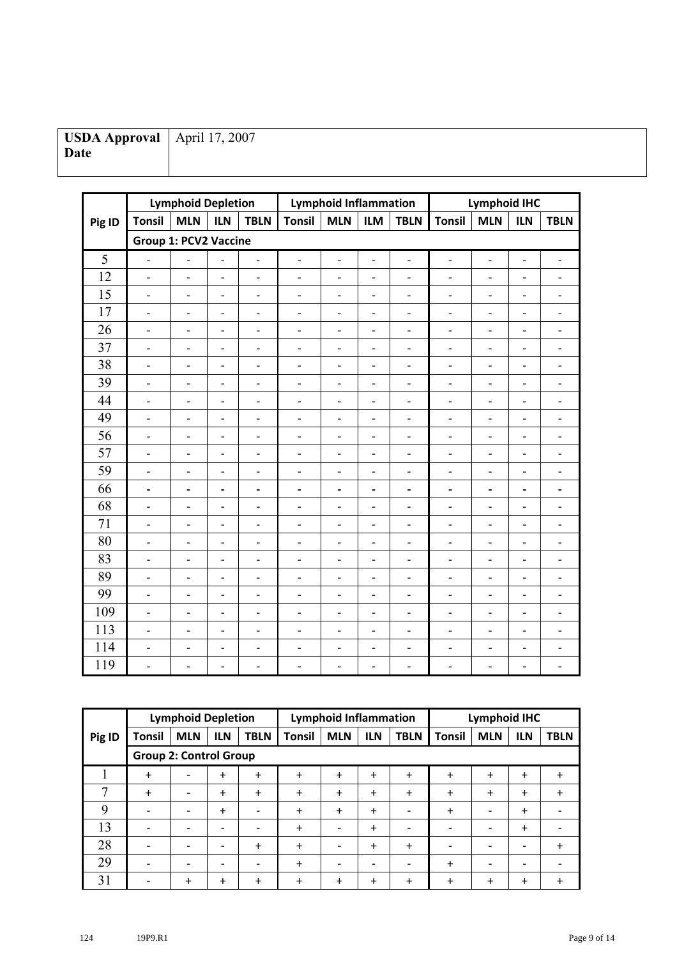| USDA Approval   April 17, 2007 |  |
|--------------------------------|--|
| Date                           |  |
|                                |  |

|        |                              | <b>Lymphoid Depletion</b>    |                          |                              |                              | <b>Lymphoid Inflammation</b> |                          |                              | <b>Lymphoid IHC</b>          |                          |                          |                              |
|--------|------------------------------|------------------------------|--------------------------|------------------------------|------------------------------|------------------------------|--------------------------|------------------------------|------------------------------|--------------------------|--------------------------|------------------------------|
| Pig ID | <b>Tonsil</b>                | <b>MLN</b>                   | <b>ILN</b>               | <b>TBLN</b>                  | <b>Tonsil</b>                | <b>MLN</b>                   | <b>ILM</b>               | <b>TBLN</b>                  | <b>Tonsil</b>                | <b>MLN</b>               | <b>ILN</b>               | <b>TBLN</b>                  |
|        | <b>Group 1: PCV2 Vaccine</b> |                              |                          |                              |                              |                              |                          |                              |                              |                          |                          |                              |
| 5      | $\overline{\phantom{0}}$     | $\qquad \qquad \blacksquare$ | $\frac{1}{2}$            | $\overline{\phantom{a}}$     | $\qquad \qquad \blacksquare$ | $\overline{\phantom{0}}$     | $\blacksquare$           | $\qquad \qquad \blacksquare$ | $\overline{\phantom{0}}$     | $\overline{\phantom{a}}$ | $\overline{\phantom{a}}$ | $\qquad \qquad -$            |
| 12     | $\overline{\phantom{a}}$     | $\overline{\phantom{0}}$     | $\overline{\phantom{a}}$ | $\overline{\phantom{a}}$     | $\overline{a}$               | $\overline{\phantom{a}}$     | $\blacksquare$           | $\overline{\phantom{a}}$     | $\overline{\phantom{0}}$     | $\overline{\phantom{a}}$ | $\blacksquare$           | $\overline{a}$               |
| 15     | $\overline{a}$               | $\overline{a}$               | $\overline{\phantom{a}}$ | $\overline{\phantom{a}}$     | $\overline{a}$               | $\overline{\phantom{a}}$     | $\overline{\phantom{a}}$ | $\overline{a}$               | $\overline{a}$               | $\overline{a}$           | $\overline{a}$           | $\overline{a}$               |
| 17     | $\qquad \qquad \blacksquare$ | $\overline{\phantom{0}}$     | $\overline{\phantom{a}}$ | $\overline{\phantom{a}}$     | $\overline{\phantom{0}}$     | $\overline{\phantom{a}}$     | $\overline{\phantom{a}}$ | $\qquad \qquad \blacksquare$ | $\overline{a}$               | $\overline{\phantom{0}}$ | $\overline{\phantom{a}}$ | -                            |
| 26     | $\overline{\phantom{m}}$     | $\overline{a}$               | $\overline{\phantom{a}}$ | $\overline{\phantom{a}}$     | $\overline{a}$               | $\overline{\phantom{a}}$     | $\overline{\phantom{a}}$ | $\overline{\phantom{m}}$     | $\overline{a}$               | $\overline{\phantom{a}}$ | $\overline{\phantom{a}}$ | $\overline{\phantom{a}}$     |
| 37     | $\overline{a}$               | $\overline{a}$               | $\overline{\phantom{a}}$ | $\overline{\phantom{a}}$     | $\overline{a}$               | $\overline{\phantom{a}}$     | $\blacksquare$           | $\qquad \qquad -$            | $\overline{a}$               | $\overline{\phantom{0}}$ | $\overline{\phantom{a}}$ | $\overline{a}$               |
| 38     | $\overline{\phantom{a}}$     | $\overline{a}$               | $\blacksquare$           | $\overline{a}$               | $\overline{a}$               | $\overline{\phantom{0}}$     | $\blacksquare$           | $\overline{a}$               | $\overline{a}$               | $\overline{\phantom{0}}$ | $\overline{\phantom{a}}$ | $\overline{a}$               |
| 39     | $\overline{\phantom{a}}$     | $\overline{a}$               | $\overline{\phantom{a}}$ | $\overline{\phantom{a}}$     | $\overline{a}$               | $\overline{\phantom{a}}$     | $\overline{\phantom{a}}$ | $\overline{\phantom{0}}$     | $\overline{a}$               | $\qquad \qquad -$        | $\overline{\phantom{a}}$ | $\overline{a}$               |
| 44     | $\qquad \qquad \blacksquare$ | $\overline{a}$               | $\overline{\phantom{a}}$ | $\overline{a}$               | $\overline{a}$               | $\overline{a}$               | $\qquad \qquad -$        | $\overline{\phantom{0}}$     | $\overline{a}$               | $\overline{\phantom{0}}$ | $\overline{\phantom{a}}$ | $\overline{\phantom{0}}$     |
| 49     | $\overline{a}$               | $\overline{a}$               | $\overline{\phantom{a}}$ | $\overline{\phantom{a}}$     | $\overline{a}$               | $\overline{\phantom{a}}$     | $\qquad \qquad -$        | $\overline{\phantom{0}}$     | $\overline{a}$               | $\overline{a}$           | $\overline{\phantom{0}}$ | $\overline{a}$               |
| 56     | $\overline{a}$               | $\overline{a}$               | $\overline{\phantom{a}}$ | $\overline{\phantom{a}}$     | -                            | $\qquad \qquad -$            | $\overline{a}$           | $\overline{a}$               | $\overline{a}$               | $\qquad \qquad -$        | $\qquad \qquad -$        | -                            |
| 57     | $\overline{\phantom{a}}$     | $\overline{\phantom{0}}$     | $\overline{\phantom{a}}$ | $\overline{\phantom{a}}$     | $\overline{\phantom{0}}$     | $\qquad \qquad -$            | $\overline{\phantom{a}}$ | $\qquad \qquad -$            | $\overline{\phantom{a}}$     | $\qquad \qquad -$        | $\overline{\phantom{a}}$ | $\qquad \qquad -$            |
| 59     | $\overline{\phantom{0}}$     | -                            | $\overline{\phantom{a}}$ | $\overline{\phantom{a}}$     | L,                           | $\overline{a}$               | $\qquad \qquad -$        | -                            | $\overline{a}$               | $\qquad \qquad -$        | $\qquad \qquad -$        | $\overline{a}$               |
| 66     | $\overline{a}$               | $\overline{a}$               | $\overline{\phantom{a}}$ | $\overline{\phantom{a}}$     | -                            | $\overline{a}$               | $\overline{\phantom{0}}$ | $\overline{a}$               | $\overline{a}$               | $\overline{a}$           | $\overline{\phantom{a}}$ | -                            |
| 68     | $\overline{\phantom{0}}$     | -                            | $\overline{\phantom{a}}$ | $\overline{\phantom{a}}$     | -                            | $\qquad \qquad -$            | $\overline{\phantom{a}}$ | -                            | $\overline{a}$               | $\qquad \qquad -$        | $\overline{\phantom{0}}$ | -                            |
| 71     | $\qquad \qquad \blacksquare$ | $\qquad \qquad \blacksquare$ | $\overline{\phantom{a}}$ | $\qquad \qquad \blacksquare$ | $\overline{a}$               | $\qquad \qquad \blacksquare$ | $\overline{\phantom{a}}$ | $\qquad \qquad \blacksquare$ | $\qquad \qquad -$            | $\overline{\phantom{0}}$ | $\overline{\phantom{0}}$ | $\qquad \qquad \blacksquare$ |
| 80     | $\overline{\phantom{a}}$     | -                            | $\overline{\phantom{a}}$ | $\overline{a}$               | $\overline{a}$               | $\overline{\phantom{a}}$     | $\overline{\phantom{a}}$ | $\overline{\phantom{a}}$     | $\overline{a}$               | $\overline{\phantom{a}}$ | $\overline{a}$           | $\overline{\phantom{a}}$     |
| 83     | $\overline{\phantom{0}}$     | -                            | $\overline{\phantom{a}}$ | $\overline{\phantom{a}}$     | L,                           | $\overline{\phantom{a}}$     | $\overline{a}$           | $\qquad \qquad \blacksquare$ | $\overline{a}$               | $\qquad \qquad -$        | $\overline{a}$           | $\overline{a}$               |
| 89     | $\overline{\phantom{m}}$     | $\overline{a}$               | $\overline{\phantom{a}}$ | $\overline{\phantom{a}}$     | $\overline{a}$               | $\overline{\phantom{a}}$     | $\overline{\phantom{a}}$ | $\overline{a}$               | $\overline{a}$               | $\overline{\phantom{0}}$ | $\overline{\phantom{a}}$ | -                            |
| 99     | $\overline{\phantom{a}}$     | $\overline{a}$               | $\overline{\phantom{a}}$ | $\overline{\phantom{a}}$     | $\overline{a}$               | $\overline{a}$               | $\overline{\phantom{a}}$ | $\overline{\phantom{m}}$     | $\overline{\phantom{a}}$     | $\overline{\phantom{a}}$ | $\overline{\phantom{a}}$ | $\overline{\phantom{a}}$     |
| 109    | $\overline{\phantom{0}}$     | -                            | $\overline{\phantom{a}}$ | $\overline{\phantom{a}}$     | -                            | $\qquad \qquad -$            | $\blacksquare$           | $\overline{\phantom{0}}$     | $\qquad \qquad \blacksquare$ | $\qquad \qquad -$        | $\overline{\phantom{0}}$ | -                            |
| 113    | $\overline{a}$               | $\overline{a}$               | $\blacksquare$           | $\blacksquare$               | $\overline{a}$               | $\overline{a}$               | $\blacksquare$           | $\overline{a}$               | $\overline{a}$               | $\overline{a}$           | $\overline{a}$           | $\overline{\phantom{0}}$     |
| 114    | $\overline{\phantom{a}}$     | -                            | $\overline{\phantom{a}}$ | $\overline{\phantom{a}}$     | $\overline{a}$               | $\qquad \qquad -$            | $\overline{\phantom{a}}$ | $\overline{\phantom{0}}$     | $\qquad \qquad -$            | $\qquad \qquad -$        | $\overline{\phantom{a}}$ | $\overline{a}$               |
| 119    | $\overline{a}$               | $\overline{a}$               | $\overline{a}$           | $\overline{\phantom{0}}$     | L.                           | $\overline{a}$               | $\blacksquare$           | $\overline{a}$               | $\overline{a}$               | $\overline{\phantom{0}}$ | $\overline{\phantom{a}}$ | $\overline{\phantom{a}}$     |

|        |                               | <b>Lymphoid Depletion</b> |                          | <b>Lymphoid Inflammation</b> |               |                          |            | <b>Lymphoid IHC</b>      |               |                          |                          |                          |
|--------|-------------------------------|---------------------------|--------------------------|------------------------------|---------------|--------------------------|------------|--------------------------|---------------|--------------------------|--------------------------|--------------------------|
| Pig ID | <b>Tonsil</b>                 | <b>MLN</b>                | <b>ILN</b>               | <b>TBLN</b>                  | <b>Tonsil</b> | <b>MLN</b>               | <b>ILN</b> | <b>TBLN</b>              | <b>Tonsil</b> | <b>MLN</b>               | <b>ILN</b>               | <b>TBLN</b>              |
|        | <b>Group 2: Control Group</b> |                           |                          |                              |               |                          |            |                          |               |                          |                          |                          |
|        | $\ddot{}$                     |                           | $\ddot{}$                | $\ddot{}$                    | $\ddot{}$     | $\ddot{}$                | $\ddot{}$  | $\ddot{}$                | $\ddot{}$     | +                        | $\ddot{}$                | $+$                      |
| 7      | $\ddot{}$                     | $\overline{\phantom{0}}$  | $\ddot{}$                | $\ddot{}$                    | $\ddot{}$     | $\ddot{}$                | $\ddot{}$  | $\ddot{}$                | $\ddot{}$     | $\ddot{}$                | $\ddot{}$                | $\ddot{}$                |
| 9      |                               |                           | $\ddot{}$                | $\overline{\phantom{a}}$     | $\ddot{}$     | $\ddot{}$                | $\ddot{}$  | $\overline{\phantom{0}}$ | $\ddot{}$     | $\overline{\phantom{0}}$ | $\ddot{}$                | -                        |
| 13     |                               |                           | $\overline{\phantom{0}}$ | $\overline{\phantom{a}}$     | $\ddot{}$     | $\overline{\phantom{a}}$ | $\ddot{}$  | $\overline{\phantom{0}}$ |               |                          | $\ddot{}$                |                          |
| 28     |                               |                           |                          | $\ddot{}$                    | $\ddot{}$     | $\overline{\phantom{0}}$ | $\ddot{}$  | $\ddot{}$                |               |                          |                          | $\ddot{}$                |
| 29     |                               |                           | $\overline{\phantom{0}}$ | $\overline{\phantom{a}}$     | $\ddot{}$     | $\overline{\phantom{a}}$ | ۰          | $\overline{\phantom{0}}$ | $\ddot{}$     | $\overline{\phantom{0}}$ | $\overline{\phantom{0}}$ | $\overline{\phantom{0}}$ |
| 31     |                               | +                         | $\ddot{}$                | $\ddot{}$                    | $\ddot{}$     | $\ddot{}$                | $\ddot{}$  | $\div$                   | +             | $\ddot{}$                | $\ddot{}$                | +                        |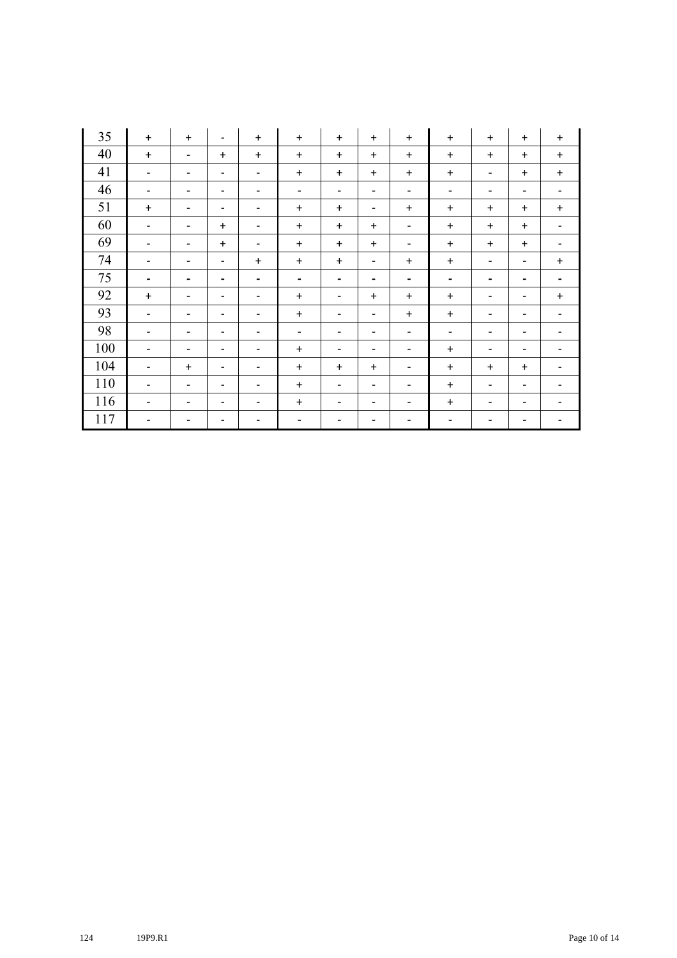| 35  | $+$                          | $+$                      | $\overline{\phantom{a}}$     | $\ddot{}$                | $+$                      | $+$                          | $\ddot{}$                | $+$                      | $+$                      | $\ddot{}$                    | $\ddot{}$                | $+$                          |
|-----|------------------------------|--------------------------|------------------------------|--------------------------|--------------------------|------------------------------|--------------------------|--------------------------|--------------------------|------------------------------|--------------------------|------------------------------|
| 40  | $+$                          | $\overline{\phantom{0}}$ | $\ddot{}$                    | $\ddot{}$                | $\ddot{}$                | $+$                          | $\ddot{}$                | $+$                      | $\ddot{}$                | $\ddot{}$                    | $\ddot{}$                | $\ddot{}$                    |
| 41  | $\qquad \qquad \blacksquare$ | -                        | $\overline{\phantom{a}}$     | $\overline{\phantom{a}}$ | $\ddot{}$                | $\ddot{}$                    | $\ddot{}$                | $\ddot{}$                | $\ddot{}$                | $\overline{\phantom{a}}$     | $\ddot{}$                | $\ddot{}$                    |
| 46  | $\qquad \qquad \blacksquare$ | -                        | $\overline{\phantom{a}}$     | $\overline{\phantom{a}}$ | $\overline{\phantom{a}}$ | $\qquad \qquad -$            | $\overline{\phantom{a}}$ | $\overline{\phantom{a}}$ | $\overline{\phantom{a}}$ | $\overline{\phantom{a}}$     | $\overline{\phantom{a}}$ | $\overline{\phantom{a}}$     |
| 51  | $+$                          | $\overline{\phantom{a}}$ | $\overline{\phantom{a}}$     | $\overline{\phantom{a}}$ | $\ddot{}$                | $\ddot{}$                    | $\overline{\phantom{a}}$ | $\ddot{}$                | $\ddot{}$                | $\ddot{}$                    | $\ddot{}$                | $\ddot{}$                    |
| 60  | $\qquad \qquad \blacksquare$ | -                        | $\ddot{}$                    | $\overline{\phantom{a}}$ | $\ddot{}$                | $\ddot{}$                    | $\ddot{}$                | $\overline{\phantom{a}}$ | $\ddot{}$                | $\ddot{}$                    | $\ddot{}$                | $\qquad \qquad \blacksquare$ |
| 69  | -                            | $\overline{\phantom{0}}$ | $\ddot{}$                    | $\overline{\phantom{a}}$ | $\ddot{}$                | $\ddot{}$                    | $\ddot{}$                | -                        | $\ddot{}$                | $\ddot{}$                    | $\ddot{}$                |                              |
| 74  | $\qquad \qquad \blacksquare$ | -                        | $\overline{\phantom{a}}$     | $\ddot{}$                | $\ddot{}$                | $\ddot{}$                    | $\overline{\phantom{a}}$ | $\ddot{}$                | $\ddot{}$                | $\qquad \qquad \blacksquare$ | $\overline{\phantom{a}}$ | $\ddot{}$                    |
| 75  | $\qquad \qquad \blacksquare$ | -                        | $\blacksquare$               | $\blacksquare$           | $\blacksquare$           | $\qquad \qquad \blacksquare$ | $\blacksquare$           | -                        | $\blacksquare$           | $\blacksquare$               | $\blacksquare$           | $\blacksquare$               |
| 92  | $\ddot{}$                    | $\overline{\phantom{a}}$ | $\overline{\phantom{a}}$     | $\overline{\phantom{a}}$ | $\ddot{}$                | $\qquad \qquad -$            | $\ddot{}$                | $\ddot{}$                | $\ddot{}$                | $\qquad \qquad \blacksquare$ | $\overline{\phantom{a}}$ | $\ddot{}$                    |
| 93  | $\qquad \qquad \blacksquare$ | $\overline{\phantom{0}}$ | $\overline{\phantom{a}}$     | $\overline{\phantom{a}}$ | $\ddot{}$                | $\qquad \qquad -$            | $\overline{\phantom{a}}$ | $\ddot{}$                | $\ddot{}$                | $\qquad \qquad \blacksquare$ | $\qquad \qquad -$        | $\overline{\phantom{a}}$     |
| 98  | -                            | $\overline{\phantom{0}}$ | $\overline{\phantom{a}}$     | $\overline{\phantom{a}}$ | $\overline{\phantom{a}}$ | $\qquad \qquad \blacksquare$ | $\overline{\phantom{a}}$ | $\overline{\phantom{a}}$ | $\overline{\phantom{a}}$ | $\overline{\phantom{a}}$     | $\overline{\phantom{a}}$ | $\overline{\phantom{0}}$     |
| 100 | $\overline{\phantom{a}}$     | -                        | $\overline{\phantom{a}}$     | $\overline{\phantom{a}}$ | $\ddot{}$                | $\qquad \qquad -$            | $\overline{\phantom{a}}$ | $\overline{\phantom{a}}$ | $\ddot{}$                | $\qquad \qquad \blacksquare$ | -                        |                              |
| 104 | -                            | $\ddot{}$                | $\qquad \qquad \blacksquare$ | $\overline{\phantom{a}}$ | $\ddot{}$                | $\ddot{}$                    | $\ddot{}$                | $\overline{\phantom{0}}$ | $\ddot{}$                | $\ddot{}$                    | $\ddot{}$                |                              |
| 110 | $\qquad \qquad \blacksquare$ | $\overline{\phantom{a}}$ | $\overline{\phantom{a}}$     | $\overline{\phantom{a}}$ | $\ddot{}$                | $\qquad \qquad -$            | $\overline{\phantom{a}}$ | $\overline{\phantom{0}}$ | $\ddot{}$                | $\qquad \qquad \blacksquare$ | $\overline{\phantom{a}}$ |                              |
| 116 | $\overline{\phantom{a}}$     | $\overline{\phantom{a}}$ | $\overline{\phantom{a}}$     | $\overline{\phantom{a}}$ | $\ddot{}$                | $\qquad \qquad -$            | $\overline{\phantom{a}}$ | $\overline{\phantom{a}}$ | $\ddot{}$                | $\overline{\phantom{a}}$     | $\overline{\phantom{a}}$ | $\overline{\phantom{a}}$     |
| 117 | -                            |                          |                              | -                        |                          |                              |                          |                          | -                        |                              |                          |                              |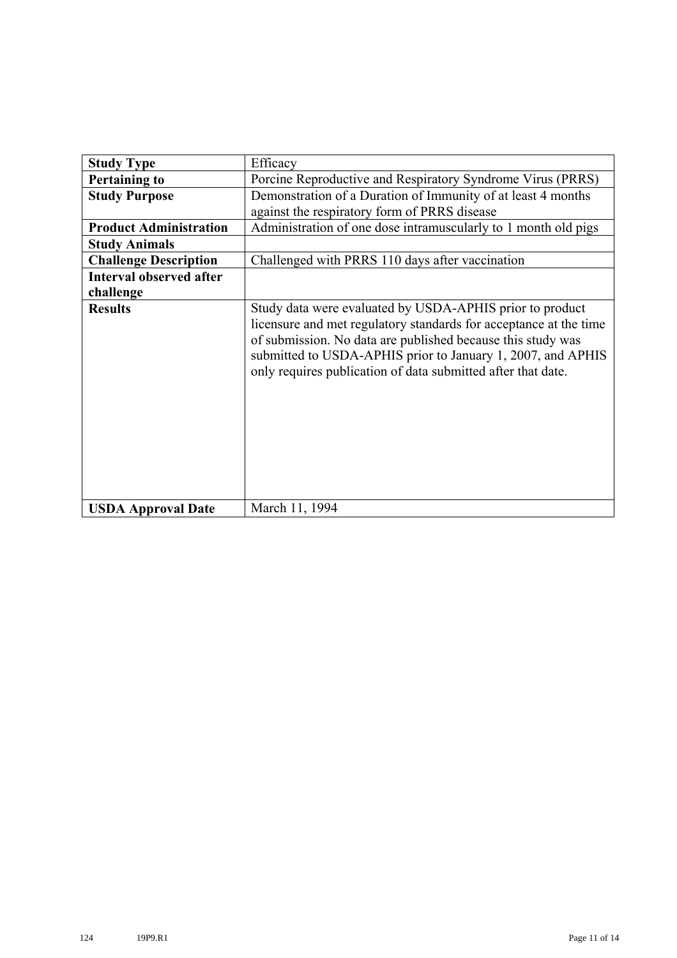| <b>Study Type</b>              | Efficacy                                                                                                                                                                                                                                                                                                                    |  |  |  |  |  |
|--------------------------------|-----------------------------------------------------------------------------------------------------------------------------------------------------------------------------------------------------------------------------------------------------------------------------------------------------------------------------|--|--|--|--|--|
| <b>Pertaining to</b>           | Porcine Reproductive and Respiratory Syndrome Virus (PRRS)                                                                                                                                                                                                                                                                  |  |  |  |  |  |
| <b>Study Purpose</b>           | Demonstration of a Duration of Immunity of at least 4 months                                                                                                                                                                                                                                                                |  |  |  |  |  |
|                                | against the respiratory form of PRRS disease                                                                                                                                                                                                                                                                                |  |  |  |  |  |
| <b>Product Administration</b>  | Administration of one dose intramuscularly to 1 month old pigs                                                                                                                                                                                                                                                              |  |  |  |  |  |
| <b>Study Animals</b>           |                                                                                                                                                                                                                                                                                                                             |  |  |  |  |  |
| <b>Challenge Description</b>   | Challenged with PRRS 110 days after vaccination                                                                                                                                                                                                                                                                             |  |  |  |  |  |
| <b>Interval observed after</b> |                                                                                                                                                                                                                                                                                                                             |  |  |  |  |  |
| challenge                      |                                                                                                                                                                                                                                                                                                                             |  |  |  |  |  |
| <b>Results</b>                 | Study data were evaluated by USDA-APHIS prior to product<br>licensure and met regulatory standards for acceptance at the time<br>of submission. No data are published because this study was<br>submitted to USDA-APHIS prior to January 1, 2007, and APHIS<br>only requires publication of data submitted after that date. |  |  |  |  |  |
| <b>USDA Approval Date</b>      | March 11, 1994                                                                                                                                                                                                                                                                                                              |  |  |  |  |  |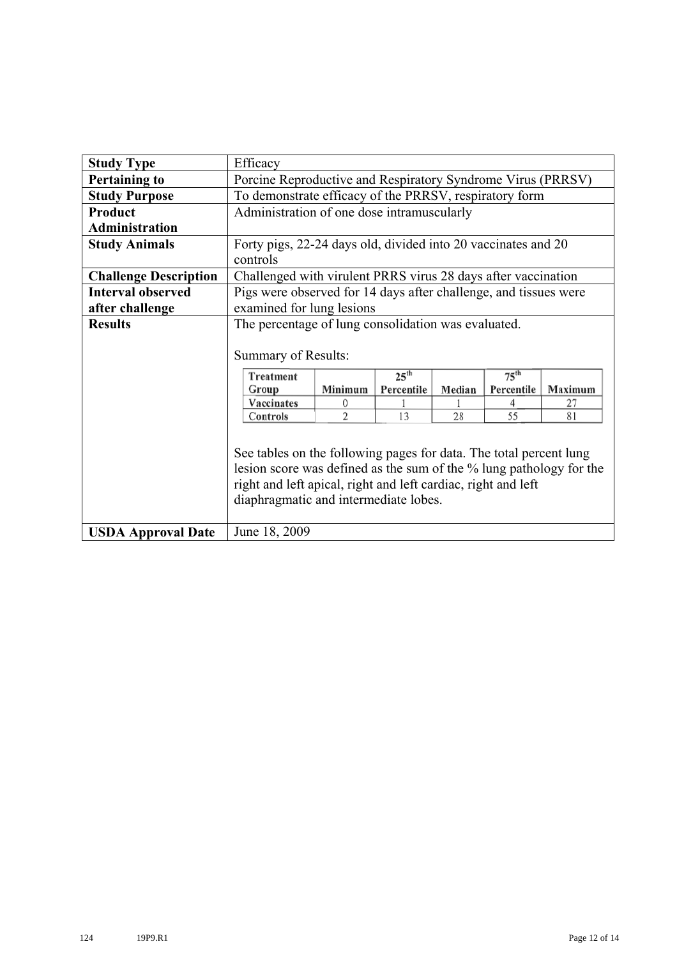| <b>Study Type</b>            | Efficacy                                                            |                                                             |                  |        |                                                               |         |  |  |  |
|------------------------------|---------------------------------------------------------------------|-------------------------------------------------------------|------------------|--------|---------------------------------------------------------------|---------|--|--|--|
| <b>Pertaining to</b>         |                                                                     | Porcine Reproductive and Respiratory Syndrome Virus (PRRSV) |                  |        |                                                               |         |  |  |  |
| <b>Study Purpose</b>         | To demonstrate efficacy of the PRRSV, respiratory form              |                                                             |                  |        |                                                               |         |  |  |  |
| Product                      | Administration of one dose intramuscularly                          |                                                             |                  |        |                                                               |         |  |  |  |
| <b>Administration</b>        |                                                                     |                                                             |                  |        |                                                               |         |  |  |  |
| <b>Study Animals</b>         | Forty pigs, 22-24 days old, divided into 20 vaccinates and 20       |                                                             |                  |        |                                                               |         |  |  |  |
|                              | controls                                                            |                                                             |                  |        |                                                               |         |  |  |  |
| <b>Challenge Description</b> |                                                                     |                                                             |                  |        | Challenged with virulent PRRS virus 28 days after vaccination |         |  |  |  |
| <b>Interval observed</b>     | Pigs were observed for 14 days after challenge, and tissues were    |                                                             |                  |        |                                                               |         |  |  |  |
| after challenge              | examined for lung lesions                                           |                                                             |                  |        |                                                               |         |  |  |  |
| <b>Results</b>               | The percentage of lung consolidation was evaluated.                 |                                                             |                  |        |                                                               |         |  |  |  |
|                              |                                                                     |                                                             |                  |        |                                                               |         |  |  |  |
|                              | Summary of Results:                                                 |                                                             |                  |        |                                                               |         |  |  |  |
|                              | Treatment                                                           |                                                             | 25 <sup>th</sup> |        | $75^{th}$                                                     |         |  |  |  |
|                              | Group                                                               | Minimum                                                     | Percentile       | Median | Percentile                                                    | Maximum |  |  |  |
|                              | Vaccinates                                                          | 0                                                           |                  |        | 4                                                             | 27      |  |  |  |
|                              | Controls                                                            | 2                                                           | 13               | 28     | 55                                                            | 81      |  |  |  |
|                              |                                                                     |                                                             |                  |        |                                                               |         |  |  |  |
|                              | See tables on the following pages for data. The total percent lung  |                                                             |                  |        |                                                               |         |  |  |  |
|                              | lesion score was defined as the sum of the % lung pathology for the |                                                             |                  |        |                                                               |         |  |  |  |
|                              | right and left apical, right and left cardiac, right and left       |                                                             |                  |        |                                                               |         |  |  |  |
|                              | diaphragmatic and intermediate lobes.                               |                                                             |                  |        |                                                               |         |  |  |  |
|                              |                                                                     |                                                             |                  |        |                                                               |         |  |  |  |
| <b>USDA Approval Date</b>    | June 18, 2009                                                       |                                                             |                  |        |                                                               |         |  |  |  |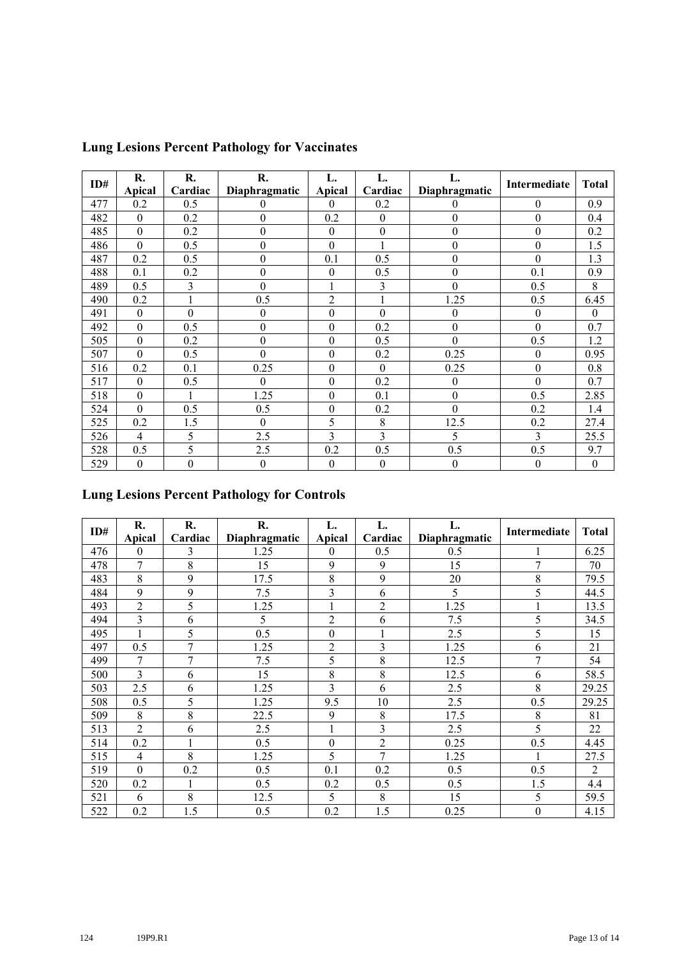| ID# | R.               | R.               | R.               | L.               | L.               | L.               |                  | <b>Total</b>     |
|-----|------------------|------------------|------------------|------------------|------------------|------------------|------------------|------------------|
|     | Apical           | Cardiac          | Diaphragmatic    | Apical           | Cardiac          | Diaphragmatic    | Intermediate     |                  |
| 477 | 0.2              | 0.5              | $\theta$         | $\theta$         | 0.2              | $\boldsymbol{0}$ | $\boldsymbol{0}$ | 0.9              |
| 482 | $\boldsymbol{0}$ | 0.2              | $\theta$         | 0.2              | $\boldsymbol{0}$ | $\boldsymbol{0}$ | $\boldsymbol{0}$ | 0.4              |
| 485 | $\boldsymbol{0}$ | 0.2              | $\boldsymbol{0}$ | $\boldsymbol{0}$ | $\boldsymbol{0}$ | $\boldsymbol{0}$ | $\boldsymbol{0}$ | 0.2              |
| 486 | $\overline{0}$   | 0.5              | $\boldsymbol{0}$ | $\mathbf{0}$     | 1                | $\boldsymbol{0}$ | $\boldsymbol{0}$ | 1.5              |
| 487 | 0.2              | 0.5              | $\boldsymbol{0}$ | 0.1              | 0.5              | $\boldsymbol{0}$ | $\boldsymbol{0}$ | 1.3              |
| 488 | 0.1              | 0.2              | $\boldsymbol{0}$ | $\theta$         | 0.5              | $\boldsymbol{0}$ | 0.1              | 0.9              |
| 489 | 0.5              | 3                | $\boldsymbol{0}$ |                  | 3                | $\boldsymbol{0}$ | 0.5              | 8                |
| 490 | 0.2              |                  | 0.5              | $\overline{2}$   | $\mathbf{1}$     | 1.25             | 0.5              | 6.45             |
| 491 | $\boldsymbol{0}$ | $\boldsymbol{0}$ | $\boldsymbol{0}$ | $\boldsymbol{0}$ | $\boldsymbol{0}$ | $\boldsymbol{0}$ | $\boldsymbol{0}$ | $\theta$         |
| 492 | $\overline{0}$   | 0.5              | $\boldsymbol{0}$ | $\theta$         | 0.2              | $\mathbf{0}$     | $\mathbf{0}$     | 0.7              |
| 505 | $\theta$         | 0.2              | $\theta$         | $\theta$         | 0.5              | $\theta$         | 0.5              | 1.2              |
| 507 | $\overline{0}$   | 0.5              | $\overline{0}$   | $\mathbf{0}$     | 0.2              | 0.25             | $\boldsymbol{0}$ | 0.95             |
| 516 | 0.2              | 0.1              | 0.25             | $\boldsymbol{0}$ | $\boldsymbol{0}$ | 0.25             | $\boldsymbol{0}$ | 0.8              |
| 517 | $\theta$         | 0.5              | $\theta$         | $\theta$         | 0.2              | $\boldsymbol{0}$ | $\mathbf{0}$     | 0.7              |
| 518 | $\mathbf{0}$     |                  | 1.25             | $\boldsymbol{0}$ | 0.1              | $\boldsymbol{0}$ | 0.5              | 2.85             |
| 524 | $\theta$         | 0.5              | 0.5              | $\boldsymbol{0}$ | 0.2              | $\boldsymbol{0}$ | 0.2              | 1.4              |
| 525 | 0.2              | 1.5              | $\theta$         | 5                | 8                | 12.5             | 0.2              | 27.4             |
| 526 | 4                | 5                | 2.5              | 3                | 3                | 5                | 3                | 25.5             |
| 528 | 0.5              | 5                | 2.5              | 0.2              | 0.5              | 0.5              | 0.5              | 9.7              |
| 529 | $\boldsymbol{0}$ | $\mathbf{0}$     | $\mathbf{0}$     | $\mathbf{0}$     | $\boldsymbol{0}$ | $\boldsymbol{0}$ | $\boldsymbol{0}$ | $\boldsymbol{0}$ |

# **Lung Lesions Percent Pathology for Vaccinates**

# **Lung Lesions Percent Pathology for Controls**

| ID# | R.             | R.      | R.            | L.<br>L.         |                | L.            | Intermediate     | <b>Total</b>   |
|-----|----------------|---------|---------------|------------------|----------------|---------------|------------------|----------------|
|     | <b>Apical</b>  | Cardiac | Diaphragmatic | <b>Apical</b>    | Cardiac        | Diaphragmatic |                  |                |
| 476 | 0              | 3       | 1.25          | $\overline{0}$   | 0.5            | 0.5           |                  | 6.25           |
| 478 | 7              | 8       | 15            | 9                | 9              | 15            | $\overline{7}$   | 70             |
| 483 | 8              | 9       | 17.5          | 8                | 9              | 20            | 8                | 79.5           |
| 484 | 9              | 9       | 7.5           | 3                | 6              | 5             | 5                | 44.5           |
| 493 | $\overline{2}$ | 5       | 1.25          |                  | $\overline{2}$ | 1.25          |                  | 13.5           |
| 494 | 3              | 6       | 5             | $\overline{c}$   | 6              | 7.5           | 5                | 34.5           |
| 495 | 1              | 5       | 0.5           | $\boldsymbol{0}$ | $\mathbf{1}$   | 2.5           | 5                | 15             |
| 497 | 0.5            | 7       | 1.25          | $\overline{2}$   | 3              | 1.25          | 6                | 21             |
| 499 | 7              | 7       | 7.5           | 5                | 8              | 12.5          | 7                | 54             |
| 500 | 3              | 6       | 15            | 8                | 8              | 12.5          | 6                | 58.5           |
| 503 | 2.5            | 6       | 1.25          | 3                | 6              | 2.5           | 8                | 29.25          |
| 508 | 0.5            | 5       | 1.25          | 9.5              | 10             | 2.5           | 0.5              | 29.25          |
| 509 | 8              | 8       | 22.5          | 9                | 8              | 17.5          | 8                | 81             |
| 513 | 2              | 6       | 2.5           |                  | 3              | 2.5           | 5                | 22             |
| 514 | 0.2            |         | 0.5           | $\mathbf{0}$     | $\overline{2}$ | 0.25          | 0.5              | 4.45           |
| 515 | $\overline{4}$ | 8       | 1.25          | 5                | 7              | 1.25          |                  | 27.5           |
| 519 | $\overline{0}$ | 0.2     | 0.5           | 0.1              | 0.2            | 0.5           | 0.5              | $\overline{2}$ |
| 520 | 0.2            |         | 0.5           | 0.2              | 0.5            | 0.5           | 1.5              | 4.4            |
| 521 | 6              | 8       | 12.5          | 5                | 8              | 15            | 5                | 59.5           |
| 522 | 0.2            | 1.5     | 0.5           | 0.2              | 1.5            | 0.25          | $\boldsymbol{0}$ | 4.15           |